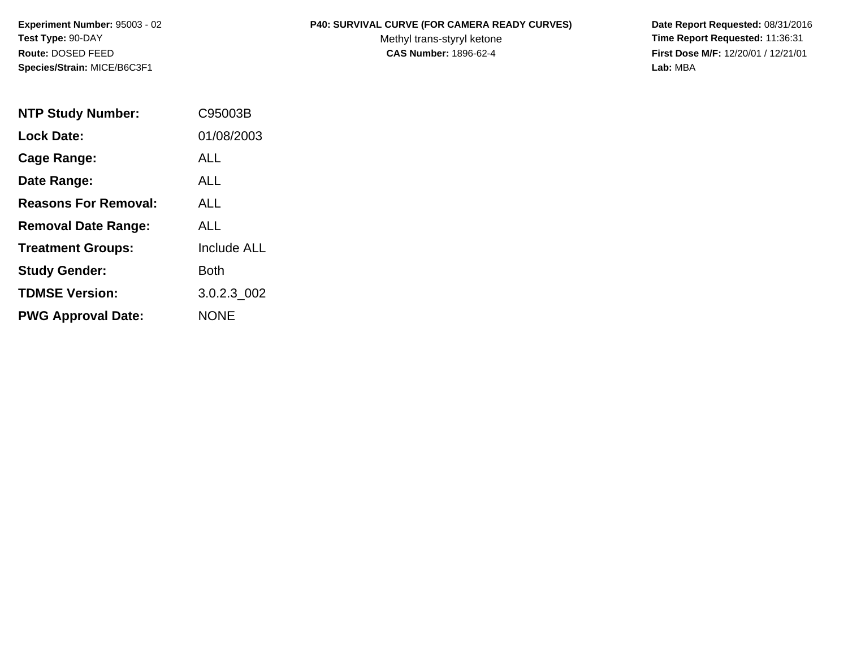**Species/Strain:** MICE/B6C3F1 **Lab:** MBA

## **Experiment Number:** 95003 - 02 **P40: SURVIVAL CURVE (FOR CAMERA READY CURVES) Date Report Requested:** 08/31/2016

Test Type: 90-DAY **The Report Requested: 11:36:31** Methyl trans-styryl ketone **Time Report Requested: 11:36:31 Route:** DOSED FEED **CAS Number:** 1896-62-4 **First Dose M/F:** 12/20/01 / 12/21/01

| <b>NTP Study Number:</b>    | C95003B            |
|-----------------------------|--------------------|
| <b>Lock Date:</b>           | 01/08/2003         |
| Cage Range:                 | ALL                |
| Date Range:                 | <b>ALL</b>         |
| <b>Reasons For Removal:</b> | <b>ALL</b>         |
| <b>Removal Date Range:</b>  | ALL                |
| <b>Treatment Groups:</b>    | <b>Include ALL</b> |
| <b>Study Gender:</b>        | Both               |
| <b>TDMSE Version:</b>       | 3.0.2.3 002        |
| <b>PWG Approval Date:</b>   | <b>NONE</b>        |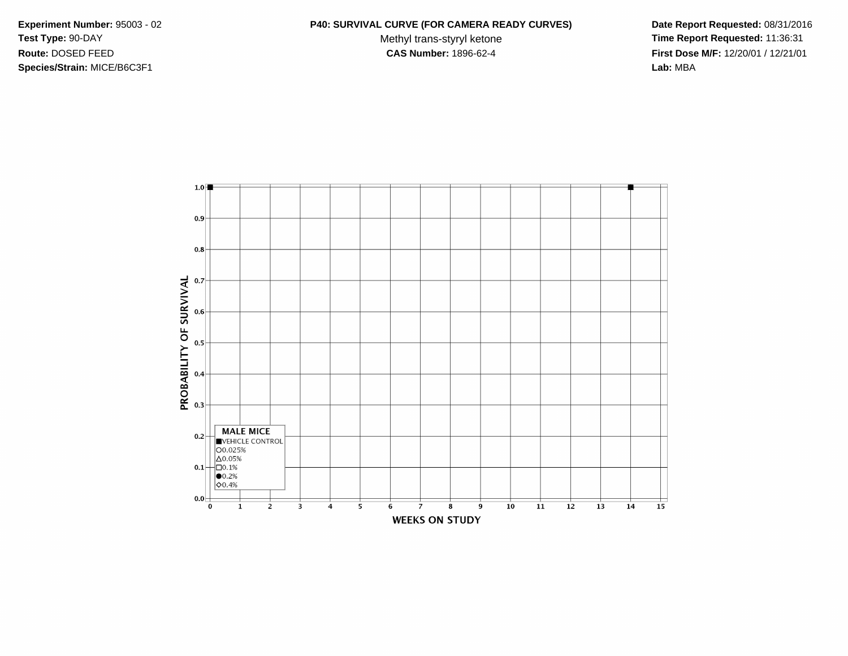**Species/Strain:** MICE/B6C3F1 **Lab:** MBA

## **Experiment Number:** 95003 - 02 **P40: SURVIVAL CURVE (FOR CAMERA READY CURVES) Date Report Requested:** 08/31/2016

Test Type: 90-DAY **The Report Requested: 11:36:31** Methyl trans-styryl ketone **Time Report Requested: 11:36:31 Route:** DOSED FEED **CAS Number:** 1896-62-4 **First Dose M/F:** 12/20/01 / 12/21/01